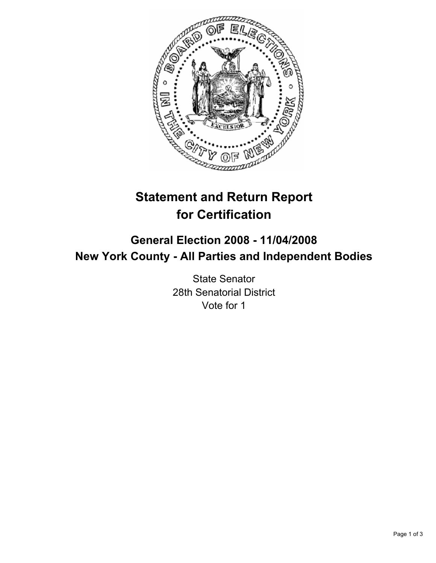

# **Statement and Return Report for Certification**

## **General Election 2008 - 11/04/2008 New York County - All Parties and Independent Bodies**

State Senator 28th Senatorial District Vote for 1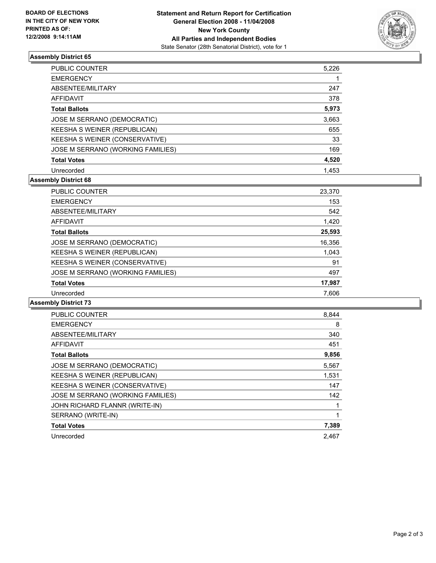

### **Assembly District 65**

| <b>PUBLIC COUNTER</b>             | 5,226 |
|-----------------------------------|-------|
| <b>EMERGENCY</b>                  |       |
| ABSENTEE/MILITARY                 | 247   |
| AFFIDAVIT                         | 378   |
| <b>Total Ballots</b>              | 5,973 |
| JOSE M SERRANO (DEMOCRATIC)       | 3,663 |
| KEESHA S WEINER (REPUBLICAN)      | 655   |
| KEESHA S WEINER (CONSERVATIVE)    | 33    |
| JOSE M SERRANO (WORKING FAMILIES) | 169   |
| <b>Total Votes</b>                | 4,520 |
| Unrecorded                        | 1.453 |

### **Assembly District 68**

| <b>PUBLIC COUNTER</b>             | 23,370 |
|-----------------------------------|--------|
| <b>EMERGENCY</b>                  | 153    |
| ABSENTEE/MILITARY                 | 542    |
| AFFIDAVIT                         | 1,420  |
| <b>Total Ballots</b>              | 25,593 |
| JOSE M SERRANO (DEMOCRATIC)       | 16,356 |
| KEESHA S WEINER (REPUBLICAN)      | 1,043  |
| KEESHA S WEINER (CONSERVATIVE)    | 91     |
| JOSE M SERRANO (WORKING FAMILIES) | 497    |
| <b>Total Votes</b>                | 17,987 |
| Unrecorded                        | 7.606  |

#### **Assembly District 73**

| <b>PUBLIC COUNTER</b>             | 8,844 |
|-----------------------------------|-------|
| <b>EMERGENCY</b>                  | 8     |
| ABSENTEE/MILITARY                 | 340   |
| <b>AFFIDAVIT</b>                  | 451   |
| <b>Total Ballots</b>              | 9,856 |
| JOSE M SERRANO (DEMOCRATIC)       | 5,567 |
| KEESHA S WEINER (REPUBLICAN)      | 1,531 |
| KEESHA S WEINER (CONSERVATIVE)    | 147   |
| JOSE M SERRANO (WORKING FAMILIES) | 142   |
| JOHN RICHARD FLANNR (WRITE-IN)    |       |
| SERRANO (WRITE-IN)                |       |
| <b>Total Votes</b>                | 7,389 |
| Unrecorded                        | 2.467 |